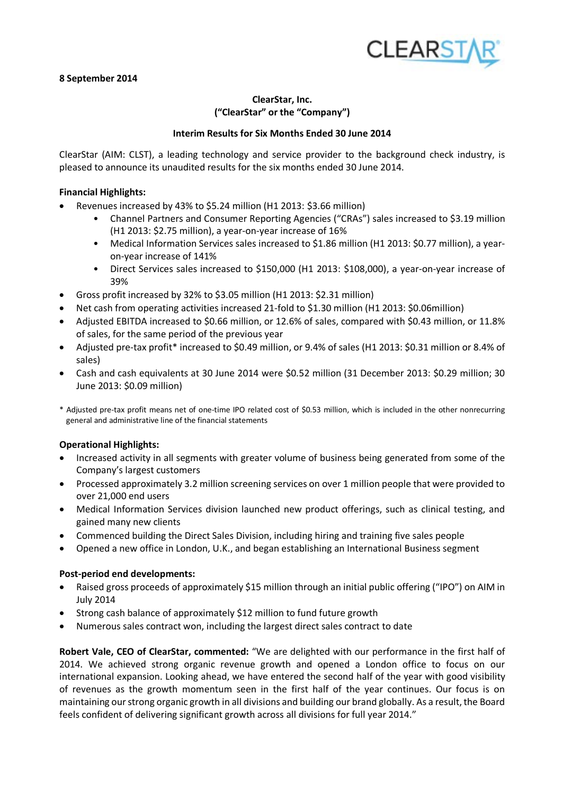

#### **8 September 2014**

## **ClearStar, Inc. ("ClearStar" or the "Company")**

#### **Interim Results for Six Months Ended 30 June 2014**

ClearStar (AIM: CLST), a leading technology and service provider to the background check industry, is pleased to announce its unaudited results for the six months ended 30 June 2014.

#### **Financial Highlights:**

- Revenues increased by 43% to \$5.24 million (H1 2013: \$3.66 million)
	- Channel Partners and Consumer Reporting Agencies ("CRAs") sales increased to \$3.19 million (H1 2013: \$2.75 million), a year-on-year increase of 16%
	- Medical Information Services sales increased to \$1.86 million (H1 2013: \$0.77 million), a yearon-year increase of 141%
	- Direct Services sales increased to \$150,000 (H1 2013: \$108,000), a year-on-year increase of 39%
- Gross profit increased by 32% to \$3.05 million (H1 2013: \$2.31 million)
- Net cash from operating activities increased 21-fold to \$1.30 million (H1 2013: \$0.06million)
- Adjusted EBITDA increased to \$0.66 million, or 12.6% of sales, compared with \$0.43 million, or 11.8% of sales, for the same period of the previous year
- Adjusted pre-tax profit\* increased to \$0.49 million, or 9.4% of sales (H1 2013: \$0.31 million or 8.4% of sales)
- Cash and cash equivalents at 30 June 2014 were \$0.52 million (31 December 2013: \$0.29 million; 30 June 2013: \$0.09 million)
- \* Adjusted pre-tax profit means net of one-time IPO related cost of \$0.53 million, which is included in the other nonrecurring general and administrative line of the financial statements

## **Operational Highlights:**

- Increased activity in all segments with greater volume of business being generated from some of the Company's largest customers
- Processed approximately 3.2 million screening services on over 1 million people that were provided to over 21,000 end users
- Medical Information Services division launched new product offerings, such as clinical testing, and gained many new clients
- Commenced building the Direct Sales Division, including hiring and training five sales people
- Opened a new office in London, U.K., and began establishing an International Business segment

#### **Post-period end developments:**

- Raised gross proceeds of approximately \$15 million through an initial public offering ("IPO") on AIM in July 2014
- Strong cash balance of approximately \$12 million to fund future growth
- Numerous sales contract won, including the largest direct sales contract to date

**Robert Vale, CEO of ClearStar, commented:** "We are delighted with our performance in the first half of 2014. We achieved strong organic revenue growth and opened a London office to focus on our international expansion. Looking ahead, we have entered the second half of the year with good visibility of revenues as the growth momentum seen in the first half of the year continues. Our focus is on maintaining our strong organic growth in all divisions and building our brand globally. As a result, the Board feels confident of delivering significant growth across all divisions for full year 2014."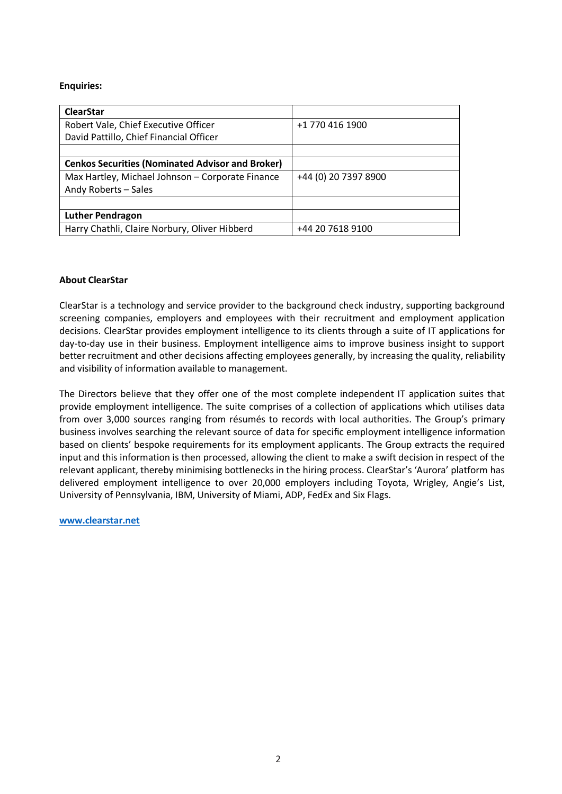## **Enquiries:**

| <b>ClearStar</b>                                        |                      |
|---------------------------------------------------------|----------------------|
| Robert Vale, Chief Executive Officer                    | +1 770 416 1900      |
| David Pattillo, Chief Financial Officer                 |                      |
|                                                         |                      |
| <b>Cenkos Securities (Nominated Advisor and Broker)</b> |                      |
| Max Hartley, Michael Johnson - Corporate Finance        | +44 (0) 20 7397 8900 |
| Andy Roberts - Sales                                    |                      |
|                                                         |                      |
| <b>Luther Pendragon</b>                                 |                      |
| Harry Chathli, Claire Norbury, Oliver Hibberd           | +44 20 7618 9100     |
|                                                         |                      |

## **About ClearStar**

ClearStar is a technology and service provider to the background check industry, supporting background screening companies, employers and employees with their recruitment and employment application decisions. ClearStar provides employment intelligence to its clients through a suite of IT applications for day-to-day use in their business. Employment intelligence aims to improve business insight to support better recruitment and other decisions affecting employees generally, by increasing the quality, reliability and visibility of information available to management.

The Directors believe that they offer one of the most complete independent IT application suites that provide employment intelligence. The suite comprises of a collection of applications which utilises data from over 3,000 sources ranging from résumés to records with local authorities. The Group's primary business involves searching the relevant source of data for specific employment intelligence information based on clients' bespoke requirements for its employment applicants. The Group extracts the required input and this information is then processed, allowing the client to make a swift decision in respect of the relevant applicant, thereby minimising bottlenecks in the hiring process. ClearStar's 'Aurora' platform has delivered employment intelligence to over 20,000 employers including Toyota, Wrigley, Angie's List, University of Pennsylvania, IBM, University of Miami, ADP, FedEx and Six Flags.

**[www.clearstar.net](http://www.clearstar.net/)**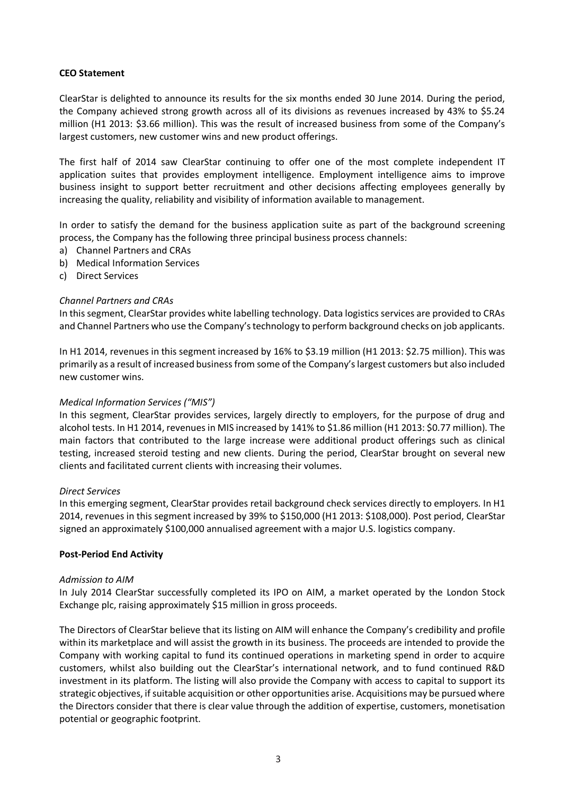## **CEO Statement**

ClearStar is delighted to announce its results for the six months ended 30 June 2014. During the period, the Company achieved strong growth across all of its divisions as revenues increased by 43% to \$5.24 million (H1 2013: \$3.66 million). This was the result of increased business from some of the Company's largest customers, new customer wins and new product offerings.

The first half of 2014 saw ClearStar continuing to offer one of the most complete independent IT application suites that provides employment intelligence. Employment intelligence aims to improve business insight to support better recruitment and other decisions affecting employees generally by increasing the quality, reliability and visibility of information available to management.

In order to satisfy the demand for the business application suite as part of the background screening process, the Company has the following three principal business process channels:

- a) Channel Partners and CRAs
- b) Medical Information Services
- c) Direct Services

## *Channel Partners and CRAs*

In this segment, ClearStar provides white labelling technology. Data logistics services are provided to CRAs and Channel Partners who use the Company'stechnology to perform background checks on job applicants.

In H1 2014, revenues in this segment increased by 16% to \$3.19 million (H1 2013: \$2.75 million). This was primarily as a result of increased business from some of the Company's largest customers but also included new customer wins.

## *Medical Information Services ("MIS")*

In this segment, ClearStar provides services, largely directly to employers, for the purpose of drug and alcohol tests. In H1 2014, revenues in MIS increased by 141% to \$1.86 million (H1 2013: \$0.77 million). The main factors that contributed to the large increase were additional product offerings such as clinical testing, increased steroid testing and new clients. During the period, ClearStar brought on several new clients and facilitated current clients with increasing their volumes.

## *Direct Services*

In this emerging segment, ClearStar provides retail background check services directly to employers. In H1 2014, revenues in this segment increased by 39% to \$150,000 (H1 2013: \$108,000). Post period, ClearStar signed an approximately \$100,000 annualised agreement with a major U.S. logistics company.

## **Post-Period End Activity**

## *Admission to AIM*

In July 2014 ClearStar successfully completed its IPO on AIM, a market operated by the London Stock Exchange plc, raising approximately \$15 million in gross proceeds.

The Directors of ClearStar believe that its listing on AIM will enhance the Company's credibility and profile within its marketplace and will assist the growth in its business. The proceeds are intended to provide the Company with working capital to fund its continued operations in marketing spend in order to acquire customers, whilst also building out the ClearStar's international network, and to fund continued R&D investment in its platform. The listing will also provide the Company with access to capital to support its strategic objectives, if suitable acquisition or other opportunities arise. Acquisitions may be pursued where the Directors consider that there is clear value through the addition of expertise, customers, monetisation potential or geographic footprint.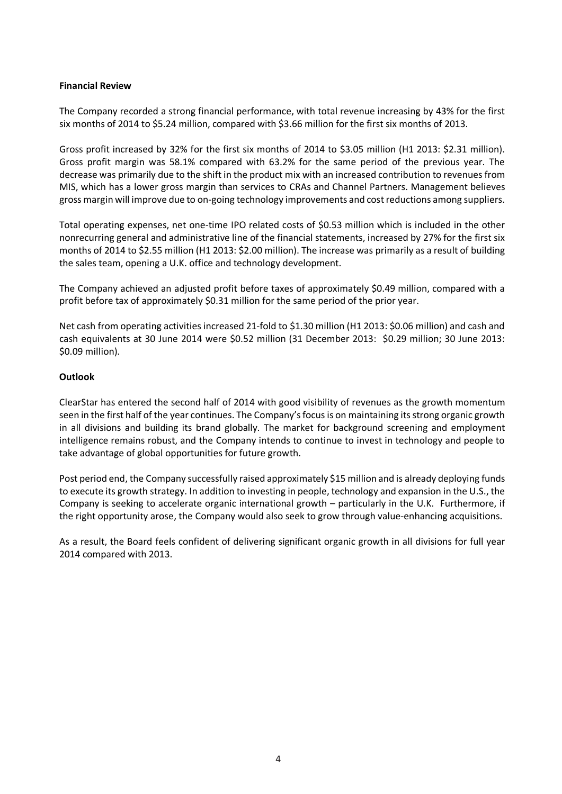## **Financial Review**

The Company recorded a strong financial performance, with total revenue increasing by 43% for the first six months of 2014 to \$5.24 million, compared with \$3.66 million for the first six months of 2013.

Gross profit increased by 32% for the first six months of 2014 to \$3.05 million (H1 2013: \$2.31 million). Gross profit margin was 58.1% compared with 63.2% for the same period of the previous year. The decrease was primarily due to the shift in the product mix with an increased contribution to revenues from MIS, which has a lower gross margin than services to CRAs and Channel Partners. Management believes gross margin will improve due to on-going technology improvements and cost reductions among suppliers.

Total operating expenses, net one-time IPO related costs of \$0.53 million which is included in the other nonrecurring general and administrative line of the financial statements, increased by 27% for the first six months of 2014 to \$2.55 million (H1 2013: \$2.00 million). The increase was primarily as a result of building the sales team, opening a U.K. office and technology development.

The Company achieved an adjusted profit before taxes of approximately \$0.49 million, compared with a profit before tax of approximately \$0.31 million for the same period of the prior year.

Net cash from operating activities increased 21-fold to \$1.30 million (H1 2013: \$0.06 million) and cash and cash equivalents at 30 June 2014 were \$0.52 million (31 December 2013: \$0.29 million; 30 June 2013: \$0.09 million).

## **Outlook**

ClearStar has entered the second half of 2014 with good visibility of revenues as the growth momentum seen in the first half of the year continues. The Company's focus is on maintaining its strong organic growth in all divisions and building its brand globally. The market for background screening and employment intelligence remains robust, and the Company intends to continue to invest in technology and people to take advantage of global opportunities for future growth.

Post period end, the Company successfully raised approximately \$15 million and is already deploying funds to execute its growth strategy. In addition to investing in people, technology and expansion in the U.S., the Company is seeking to accelerate organic international growth – particularly in the U.K. Furthermore, if the right opportunity arose, the Company would also seek to grow through value-enhancing acquisitions.

As a result, the Board feels confident of delivering significant organic growth in all divisions for full year 2014 compared with 2013.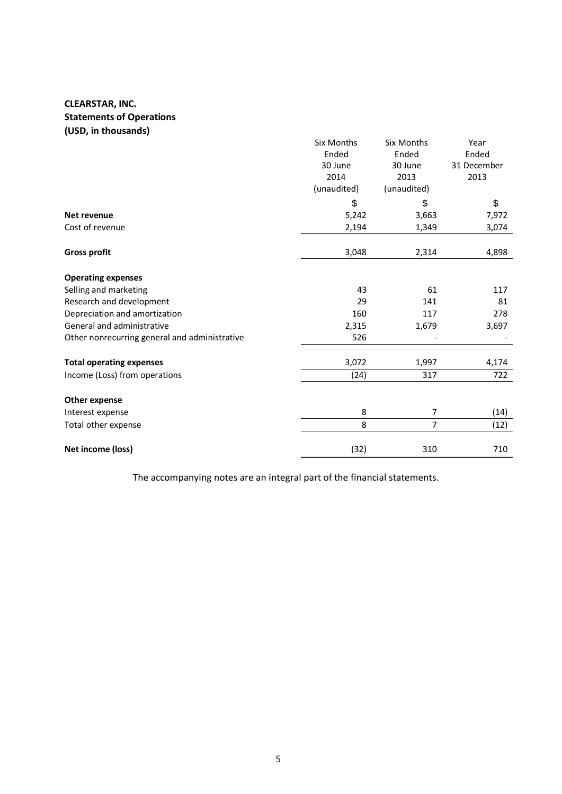# **CLEARSTAR, INC. Statements of Operations (USD, in thousands)**

|                                               | Six Months  | Six Months  | Year        |
|-----------------------------------------------|-------------|-------------|-------------|
|                                               | Ended       | Ended       | Ended       |
|                                               | 30 June     | 30 June     | 31 December |
|                                               | 2014        | 2013        | 2013        |
|                                               | (unaudited) | (unaudited) |             |
|                                               | \$          | \$          | \$          |
| Net revenue                                   | 5,242       | 3,663       | 7,972       |
| Cost of revenue                               | 2,194       | 1,349       | 3,074       |
| <b>Gross profit</b>                           | 3,048       | 2,314       | 4,898       |
| <b>Operating expenses</b>                     |             |             |             |
| Selling and marketing                         | 43          | 61          | 117         |
| Research and development                      | 29          | 141         | 81          |
| Depreciation and amortization                 | 160         | 117         | 278         |
| General and administrative                    | 2,315       | 1,679       | 3,697       |
| Other nonrecurring general and administrative | 526         |             |             |
| <b>Total operating expenses</b>               | 3,072       | 1,997       | 4,174       |
| Income (Loss) from operations                 | (24)        | 317         | 722         |
| Other expense                                 |             |             |             |
| Interest expense                              | 8           | 7           | (14)        |
| Total other expense                           | 8           | 7           | (12)        |
| Net income (loss)                             | (32)        | 310         | 710         |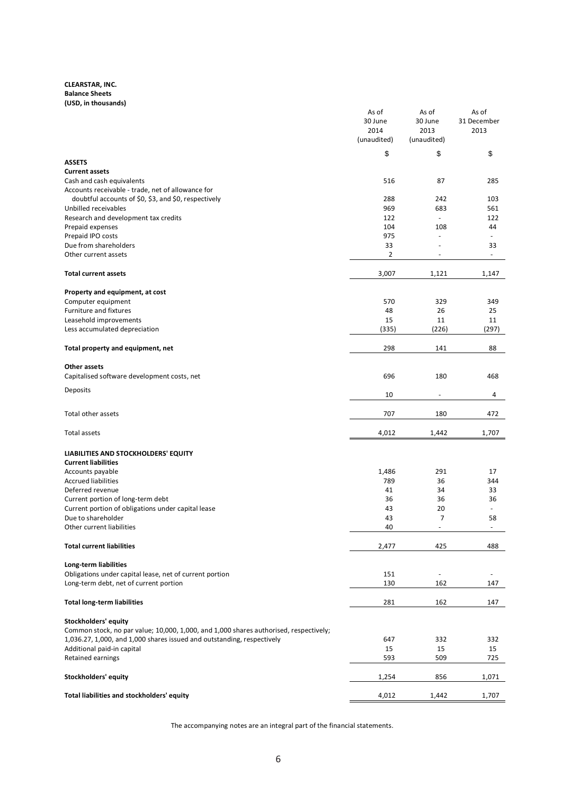#### **CLEARSTAR, INC. Balance Sheets (USD, in thousands)**

|                                                                                       | As of       | As of                    | As of                    |
|---------------------------------------------------------------------------------------|-------------|--------------------------|--------------------------|
|                                                                                       | 30 June     | 30 June                  | 31 December              |
|                                                                                       | 2014        | 2013                     | 2013                     |
|                                                                                       | (unaudited) | (unaudited)              |                          |
|                                                                                       | \$          | \$                       | \$                       |
| <b>ASSETS</b>                                                                         |             |                          |                          |
| <b>Current assets</b>                                                                 |             |                          |                          |
| Cash and cash equivalents                                                             | 516         | 87                       | 285                      |
| Accounts receivable - trade, net of allowance for                                     |             |                          |                          |
| doubtful accounts of \$0, \$3, and \$0, respectively                                  | 288         | 242                      | 103                      |
| Unbilled receivables                                                                  | 969         | 683                      | 561                      |
| Research and development tax credits                                                  | 122         |                          | 122                      |
| Prepaid expenses                                                                      | 104         | 108                      | 44                       |
| Prepaid IPO costs                                                                     | 975         |                          |                          |
| Due from shareholders                                                                 | 33          |                          | 33                       |
| Other current assets                                                                  | 2           | $\blacksquare$           | $\overline{\phantom{a}}$ |
|                                                                                       |             |                          |                          |
| <b>Total current assets</b>                                                           | 3,007       | 1,121                    | 1,147                    |
| Property and equipment, at cost                                                       |             |                          |                          |
| Computer equipment                                                                    | 570         | 329                      | 349                      |
| <b>Furniture and fixtures</b>                                                         | 48          | 26                       | 25                       |
| Leasehold improvements                                                                | 15          | 11                       | 11                       |
|                                                                                       |             |                          |                          |
| Less accumulated depreciation                                                         | (335)       | (226)                    | (297)                    |
| Total property and equipment, net                                                     | 298         | 141                      | 88                       |
|                                                                                       |             |                          |                          |
| Other assets<br>Capitalised software development costs, net                           | 696         | 180                      | 468                      |
|                                                                                       |             |                          |                          |
| Deposits                                                                              | 10          | $\overline{\phantom{a}}$ | 4                        |
|                                                                                       |             |                          |                          |
| Total other assets                                                                    | 707         | 180                      | 472                      |
| Total assets                                                                          | 4,012       | 1,442                    | 1,707                    |
|                                                                                       |             |                          |                          |
| LIABILITIES AND STOCKHOLDERS' EQUITY                                                  |             |                          |                          |
| <b>Current liabilities</b>                                                            |             |                          |                          |
| Accounts payable                                                                      | 1,486       | 291                      | 17                       |
| <b>Accrued liabilities</b>                                                            | 789         | 36                       | 344                      |
| Deferred revenue                                                                      | 41          | 34                       | 33                       |
| Current portion of long-term debt                                                     | 36          | 36                       | 36                       |
| Current portion of obligations under capital lease                                    | 43          | 20                       |                          |
| Due to shareholder                                                                    | 43          | 7                        | 58                       |
| Other current liabilities                                                             | 40          | $\blacksquare$           | $\blacksquare$           |
| <b>Total current liabilities</b>                                                      | 2,477       | 425                      | 488                      |
|                                                                                       |             |                          |                          |
| Long-term liabilities                                                                 |             |                          |                          |
| Obligations under capital lease, net of current portion                               | 151         | $\overline{\phantom{a}}$ |                          |
| Long-term debt, net of current portion                                                | 130         | 162                      | 147                      |
|                                                                                       |             |                          |                          |
| <b>Total long-term liabilities</b>                                                    | 281         | 162                      | 147                      |
| <b>Stockholders' equity</b>                                                           |             |                          |                          |
| Common stock, no par value; 10,000, 1,000, and 1,000 shares authorised, respectively; |             |                          |                          |
| 1,036.27, 1,000, and 1,000 shares issued and outstanding, respectively                | 647         | 332                      | 332                      |
| Additional paid-in capital                                                            | 15          | 15                       | 15                       |
| Retained earnings                                                                     | 593         | 509                      | 725                      |
|                                                                                       |             |                          |                          |
| <b>Stockholders' equity</b>                                                           | 1,254       | 856                      | 1,071                    |
|                                                                                       |             |                          |                          |
| Total liabilities and stockholders' equity                                            | 4,012       | 1,442                    | 1,707                    |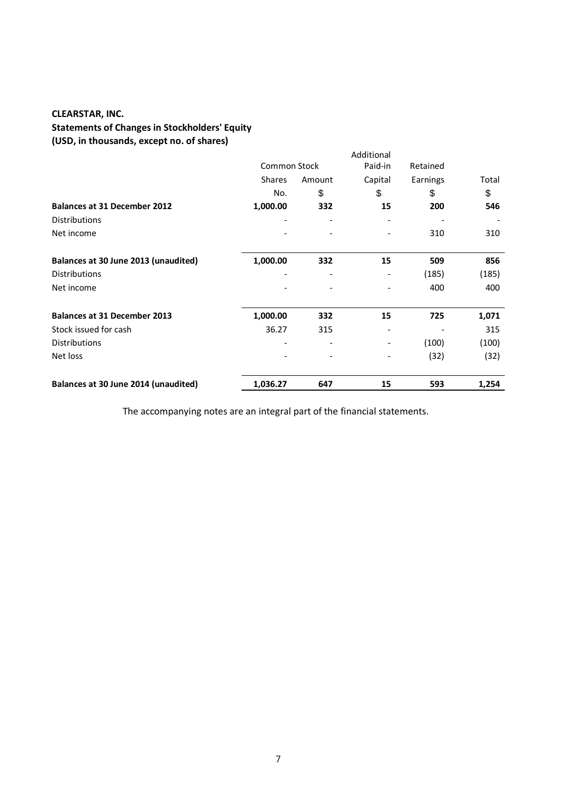# **CLEARSTAR, INC. Statements of Changes in Stockholders' Equity (USD, in thousands, except no. of shares)**

| Balances at 30 June 2014 (unaudited) | 1,036.27            | 647                      | 15                       | 593      | 1,254 |
|--------------------------------------|---------------------|--------------------------|--------------------------|----------|-------|
| Net loss                             |                     |                          |                          | (32)     | (32)  |
| <b>Distributions</b>                 |                     |                          |                          | (100)    | (100) |
| Stock issued for cash                | 36.27               | 315                      | $\overline{\phantom{a}}$ |          | 315   |
| <b>Balances at 31 December 2013</b>  | 1,000.00            | 332                      | 15                       | 725      | 1,071 |
| Net income                           |                     |                          |                          | 400      | 400   |
| <b>Distributions</b>                 |                     |                          |                          | (185)    | (185) |
| Balances at 30 June 2013 (unaudited) | 1,000.00            | 332                      | 15                       | 509      | 856   |
| Net income                           |                     |                          |                          | 310      | 310   |
| <b>Distributions</b>                 |                     | $\overline{\phantom{0}}$ |                          |          |       |
| <b>Balances at 31 December 2012</b>  | 1,000.00            | 332                      | 15                       | 200      | 546   |
|                                      | No.                 | \$                       | \$                       | \$       | \$    |
|                                      | <b>Shares</b>       | Amount                   | Capital                  | Earnings | Total |
|                                      | <b>Common Stock</b> |                          | Additional<br>Paid-in    | Retained |       |
|                                      |                     |                          |                          |          |       |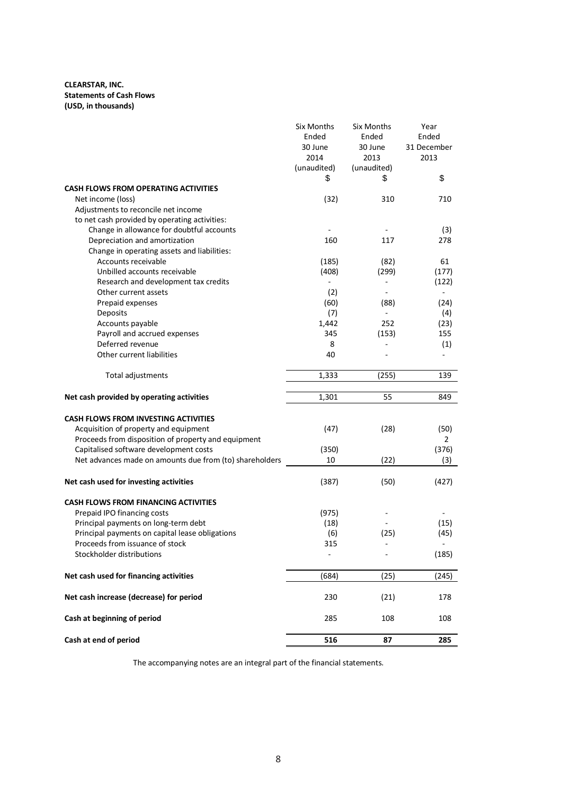#### **CLEARSTAR, INC. Statements of Cash Flows (USD, in thousands)**

|                                                         | Six Months                   | <b>Six Months</b>        | Year           |
|---------------------------------------------------------|------------------------------|--------------------------|----------------|
|                                                         | Ended                        | Ended                    | Ended          |
|                                                         | 30 June                      | 30 June                  | 31 December    |
|                                                         | 2014                         | 2013                     | 2013           |
|                                                         | (unaudited)                  | (unaudited)              |                |
|                                                         | \$                           | \$                       | \$             |
| <b>CASH FLOWS FROM OPERATING ACTIVITIES</b>             |                              |                          |                |
| Net income (loss)                                       | (32)                         | 310                      | 710            |
| Adjustments to reconcile net income                     |                              |                          |                |
| to net cash provided by operating activities:           |                              |                          |                |
| Change in allowance for doubtful accounts               |                              |                          | (3)            |
| Depreciation and amortization                           | 160                          | 117                      | 278            |
| Change in operating assets and liabilities:             |                              |                          |                |
| Accounts receivable                                     | (185)                        | (82)                     | 61             |
| Unbilled accounts receivable                            | (408)                        | (299)                    | (177)          |
| Research and development tax credits                    | $\qquad \qquad \blacksquare$ | $\overline{\phantom{a}}$ | (122)          |
| Other current assets                                    | (2)                          |                          | ÷.             |
| Prepaid expenses                                        | (60)                         | (88)                     | (24)           |
| Deposits                                                | (7)                          | $\overline{\phantom{a}}$ | (4)            |
| Accounts payable                                        | 1,442                        | 252                      | (23)           |
| Payroll and accrued expenses                            | 345                          | (153)                    | 155            |
| Deferred revenue                                        | 8                            |                          | (1)            |
| Other current liabilities                               | 40                           |                          |                |
| Total adjustments                                       | 1,333                        | (255)                    | 139            |
|                                                         |                              |                          |                |
| Net cash provided by operating activities               | 1,301                        | 55                       | 849            |
| <b>CASH FLOWS FROM INVESTING ACTIVITIES</b>             |                              |                          |                |
| Acquisition of property and equipment                   | (47)                         | (28)                     | (50)           |
| Proceeds from disposition of property and equipment     |                              |                          | $\overline{2}$ |
| Capitalised software development costs                  | (350)                        |                          | (376)          |
| Net advances made on amounts due from (to) shareholders | 10                           | (22)                     | (3)            |
| Net cash used for investing activities                  | (387)                        | (50)                     | (427)          |
| <b>CASH FLOWS FROM FINANCING ACTIVITIES</b>             |                              |                          |                |
| Prepaid IPO financing costs                             | (975)                        |                          |                |
| Principal payments on long-term debt                    |                              |                          |                |
| Principal payments on capital lease obligations         | (18)                         |                          | (15)           |
| Proceeds from issuance of stock                         | (6)<br>315                   | (25)                     | (45)           |
|                                                         |                              |                          |                |
| Stockholder distributions                               |                              |                          | (185)          |
| Net cash used for financing activities                  | (684)                        | (25)                     | (245)          |
| Net cash increase (decrease) for period                 | 230                          | (21)                     | 178            |
| Cash at beginning of period                             | 285                          | 108                      | 108            |
| Cash at end of period                                   | 516                          | 87                       | 285            |
|                                                         |                              |                          |                |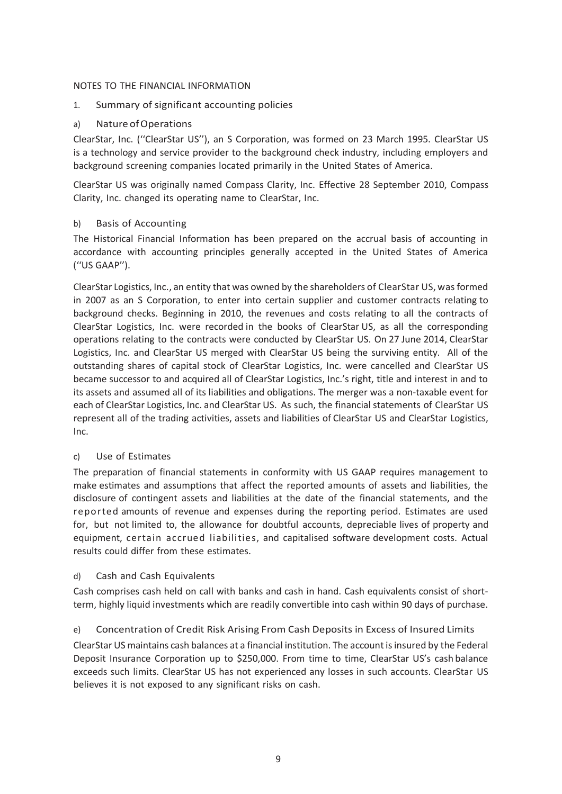## NOTES TO THE FINANCIAL INFORMATION

- 1. Summary of significant accounting policies
- a) Nature ofOperations

ClearStar, Inc. (''ClearStar US''), an S Corporation, was formed on 23 March 1995. ClearStar US is a technology and service provider to the background check industry, including employers and background screening companies located primarily in the United States of America.

ClearStar US was originally named Compass Clarity, Inc. Effective 28 September 2010, Compass Clarity, Inc. changed its operating name to ClearStar, Inc.

## b) Basis of Accounting

The Historical Financial Information has been prepared on the accrual basis of accounting in accordance with accounting principles generally accepted in the United States of America (''US GAAP'').

ClearStar Logistics, Inc., an entity that was owned by the shareholders of ClearStar US, wasformed in 2007 as an S Corporation, to enter into certain supplier and customer contracts relating to background checks. Beginning in 2010, the revenues and costs relating to all the contracts of ClearStar Logistics, Inc. were recorded in the books of ClearStar US, as all the corresponding operations relating to the contracts were conducted by ClearStar US. On 27 June 2014, ClearStar Logistics, Inc. and ClearStar US merged with ClearStar US being the surviving entity. All of the outstanding shares of capital stock of ClearStar Logistics, Inc. were cancelled and ClearStar US became successor to and acquired all of ClearStar Logistics, Inc.'s right, title and interest in and to its assets and assumed all of its liabilities and obligations. The merger was a non-taxable event for each of ClearStar Logistics, Inc. and ClearStar US. As such, the financial statements of ClearStar US represent all of the trading activities, assets and liabilities of ClearStar US and ClearStar Logistics, Inc.

## c) Use of Estimates

The preparation of financial statements in conformity with US GAAP requires management to make estimates and assumptions that affect the reported amounts of assets and liabilities, the disclosure of contingent assets and liabilities at the date of the financial statements, and the reported amounts of revenue and expenses during the reporting period. Estimates are used for, but not limited to, the allowance for doubtful accounts, depreciable lives of property and equipment, certain accrued liabilities, and capitalised software development costs. Actual results could differ from these estimates.

## d) Cash and Cash Equivalents

Cash comprises cash held on call with banks and cash in hand. Cash equivalents consist of shortterm, highly liquid investments which are readily convertible into cash within 90 days of purchase.

## e) Concentration of Credit Risk Arising From Cash Deposits in Excess of Insured Limits

ClearStar US maintains cash balances at a financial institution. The accountis insured by the Federal Deposit Insurance Corporation up to \$250,000. From time to time, ClearStar US's cash balance exceeds such limits. ClearStar US has not experienced any losses in such accounts. ClearStar US believes it is not exposed to any significant risks on cash.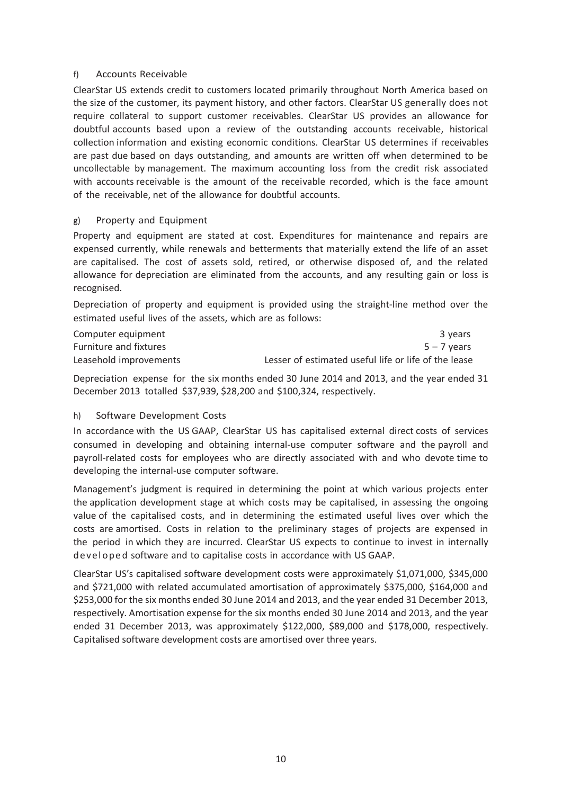## f) Accounts Receivable

ClearStar US extends credit to customers located primarily throughout North America based on the size of the customer, its payment history, and other factors. ClearStar US generally does not require collateral to support customer receivables. ClearStar US provides an allowance for doubtful accounts based upon a review of the outstanding accounts receivable, historical collection information and existing economic conditions. ClearStar US determines if receivables are past due based on days outstanding, and amounts are written off when determined to be uncollectable by management. The maximum accounting loss from the credit risk associated with accounts receivable is the amount of the receivable recorded, which is the face amount of the receivable, net of the allowance for doubtful accounts.

## g) Property and Equipment

Property and equipment are stated at cost. Expenditures for maintenance and repairs are expensed currently, while renewals and betterments that materially extend the life of an asset are capitalised. The cost of assets sold, retired, or otherwise disposed of, and the related allowance for depreciation are eliminated from the accounts, and any resulting gain or loss is recognised.

Depreciation of property and equipment is provided using the straight-line method over the estimated useful lives of the assets, which are as follows:

| Computer equipment     | 3 years                                              |
|------------------------|------------------------------------------------------|
| Furniture and fixtures | $5 - 7$ years                                        |
| Leasehold improvements | Lesser of estimated useful life or life of the lease |

Depreciation expense for the six months ended 30 June 2014 and 2013, and the year ended 31 December 2013 totalled \$37,939, \$28,200 and \$100,324, respectively.

## h) Software Development Costs

In accordance with the US GAAP, ClearStar US has capitalised external direct costs of services consumed in developing and obtaining internal-use computer software and the payroll and payroll-related costs for employees who are directly associated with and who devote time to developing the internal-use computer software.

Management's judgment is required in determining the point at which various projects enter the application development stage at which costs may be capitalised, in assessing the ongoing value of the capitalised costs, and in determining the estimated useful lives over which the costs are amortised. Costs in relation to the preliminary stages of projects are expensed in the period in which they are incurred. ClearStar US expects to continue to invest in internally developed software and to capitalise costs in accordance with US GAAP.

ClearStar US's capitalised software development costs were approximately \$1,071,000, \$345,000 and \$721,000 with related accumulated amortisation of approximately \$375,000, \$164,000 and \$253,000 for the six months ended 30 June 2014 and 2013, and the year ended 31 December 2013, respectively. Amortisation expense for the six months ended 30 June 2014 and 2013, and the year ended 31 December 2013, was approximately \$122,000, \$89,000 and \$178,000, respectively. Capitalised software development costs are amortised over three years.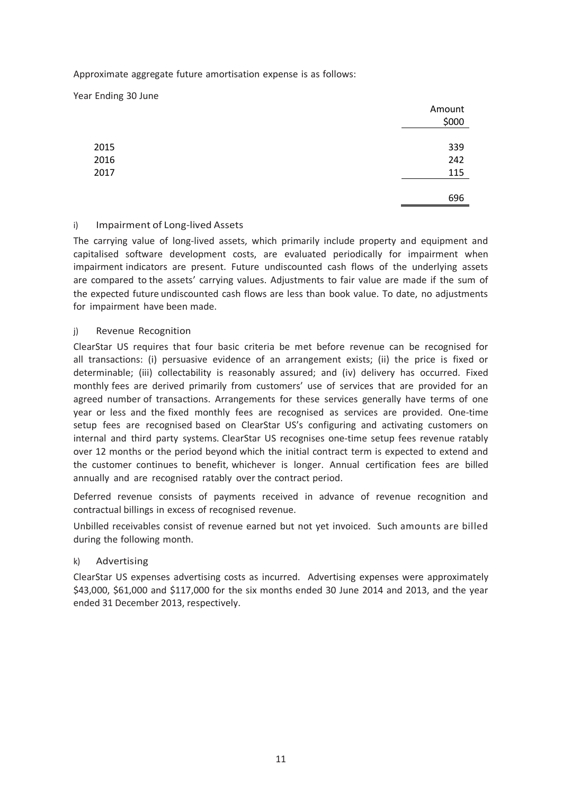Approximate aggregate future amortisation expense is as follows:

Year Ending 30 June

|      | Amount<br>\$000 |
|------|-----------------|
|      |                 |
| 2015 | 339             |
| 2016 | 242             |
| 2017 | 115             |
|      |                 |
|      | 696             |

## i) Impairment of Long-lived Assets

The carrying value of long-lived assets, which primarily include property and equipment and capitalised software development costs, are evaluated periodically for impairment when impairment indicators are present. Future undiscounted cash flows of the underlying assets are compared to the assets' carrying values. Adjustments to fair value are made if the sum of the expected future undiscounted cash flows are less than book value. To date, no adjustments for impairment have been made.

## j) Revenue Recognition

ClearStar US requires that four basic criteria be met before revenue can be recognised for all transactions: (i) persuasive evidence of an arrangement exists; (ii) the price is fixed or determinable; (iii) collectability is reasonably assured; and (iv) delivery has occurred. Fixed monthly fees are derived primarily from customers' use of services that are provided for an agreed number of transactions. Arrangements for these services generally have terms of one year or less and the fixed monthly fees are recognised as services are provided. One-time setup fees are recognised based on ClearStar US's configuring and activating customers on internal and third party systems. ClearStar US recognises one-time setup fees revenue ratably over 12 months or the period beyond which the initial contract term is expected to extend and the customer continues to benefit, whichever is longer. Annual certification fees are billed annually and are recognised ratably over the contract period.

Deferred revenue consists of payments received in advance of revenue recognition and contractual billings in excess of recognised revenue.

Unbilled receivables consist of revenue earned but not yet invoiced. Such amounts are billed during the following month.

## k) Advertising

ClearStar US expenses advertising costs as incurred. Advertising expenses were approximately \$43,000, \$61,000 and \$117,000 for the six months ended 30 June 2014 and 2013, and the year ended 31 December 2013, respectively.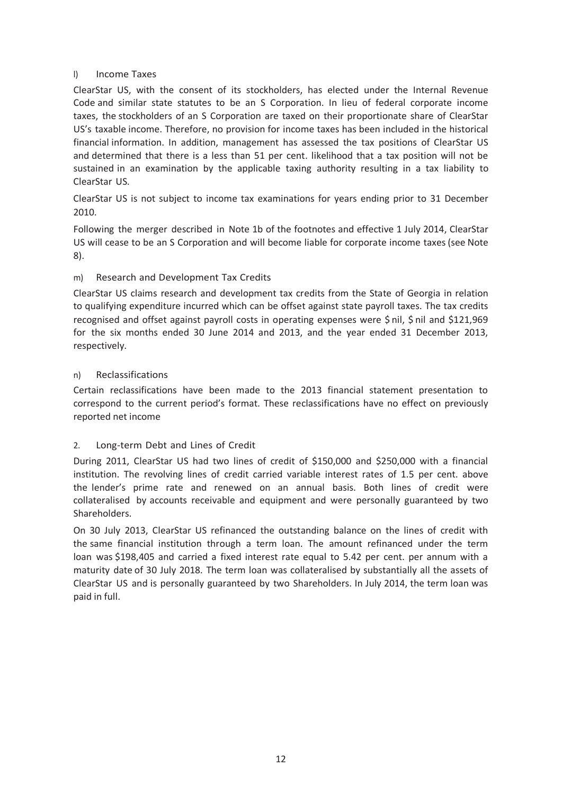## l) Income Taxes

ClearStar US, with the consent of its stockholders, has elected under the Internal Revenue Code and similar state statutes to be an S Corporation. In lieu of federal corporate income taxes, the stockholders of an S Corporation are taxed on their proportionate share of ClearStar US's taxable income. Therefore, no provision for income taxes has been included in the historical financial information. In addition, management has assessed the tax positions of ClearStar US and determined that there is a less than 51 per cent. likelihood that a tax position will not be sustained in an examination by the applicable taxing authority resulting in a tax liability to ClearStar US.

ClearStar US is not subject to income tax examinations for years ending prior to 31 December 2010.

Following the merger described in Note 1b of the footnotes and effective 1 July 2014, ClearStar US will cease to be an S Corporation and will become liable for corporate income taxes (see Note 8).

## m) Research and Development Tax Credits

ClearStar US claims research and development tax credits from the State of Georgia in relation to qualifying expenditure incurred which can be offset against state payroll taxes. The tax credits recognised and offset against payroll costs in operating expenses were \$ nil, \$ nil and \$121,969 for the six months ended 30 June 2014 and 2013, and the year ended 31 December 2013, respectively.

## n) Reclassifications

Certain reclassifications have been made to the 2013 financial statement presentation to correspond to the current period's format. These reclassifications have no effect on previously reported net income

## 2. Long-term Debt and Lines of Credit

During 2011, ClearStar US had two lines of credit of \$150,000 and \$250,000 with a financial institution. The revolving lines of credit carried variable interest rates of 1.5 per cent. above the lender's prime rate and renewed on an annual basis. Both lines of credit were collateralised by accounts receivable and equipment and were personally guaranteed by two Shareholders.

On 30 July 2013, ClearStar US refinanced the outstanding balance on the lines of credit with the same financial institution through a term loan. The amount refinanced under the term loan was \$198,405 and carried a fixed interest rate equal to 5.42 per cent. per annum with a maturity date of 30 July 2018. The term loan was collateralised by substantially all the assets of ClearStar US and is personally guaranteed by two Shareholders. In July 2014, the term loan was paid in full.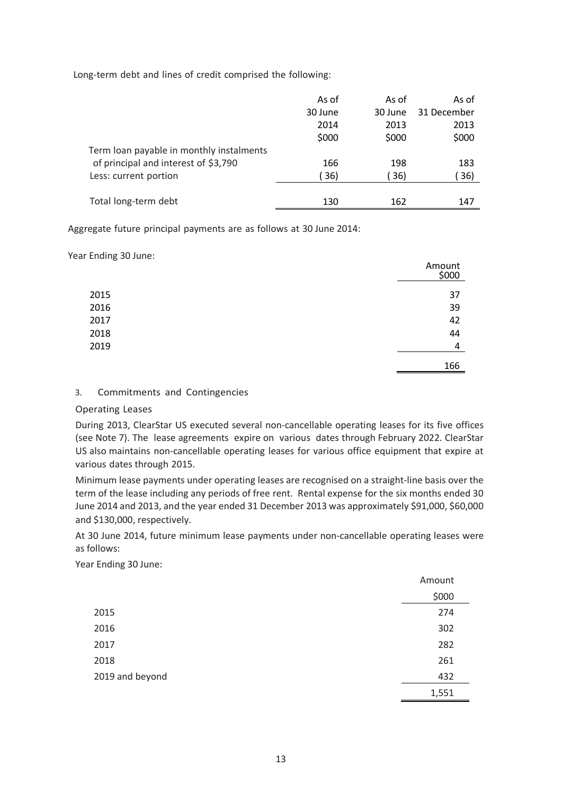Long-term debt and lines of credit comprised the following:

|                                          | As of   | As of   | As of       |
|------------------------------------------|---------|---------|-------------|
|                                          | 30 June | 30 June | 31 December |
|                                          | 2014    | 2013    | 2013        |
|                                          | \$000   | \$000   | \$000       |
| Term loan payable in monthly instalments |         |         |             |
| of principal and interest of \$3,790     | 166     | 198     | 183         |
| Less: current portion                    | 36)     | 36)     | 36)         |
|                                          |         |         |             |
| Total long-term debt                     | 130     | 162     | 147         |

Aggregate future principal payments are as follows at 30 June 2014:

Year Ending 30 June:

|      | Amount<br>\$000 |
|------|-----------------|
|      |                 |
| 2015 | 37              |
| 2016 | 39              |
| 2017 | 42              |
| 2018 | 44              |
| 2019 | 4               |
|      |                 |
|      | 166             |

# 3. Commitments and Contingencies

## Operating Leases

During 2013, ClearStar US executed several non-cancellable operating leases for its five offices (see Note 7). The lease agreements expire on various dates through February 2022. ClearStar US also maintains non-cancellable operating leases for various office equipment that expire at various dates through 2015.

Minimum lease payments under operating leases are recognised on a straight-line basis over the term of the lease including any periods of free rent. Rental expense for the six months ended 30 June 2014 and 2013, and the year ended 31 December 2013 was approximately \$91,000, \$60,000 and \$130,000, respectively.

At 30 June 2014, future minimum lease payments under non-cancellable operating leases were as follows:

Year Ending 30 June:

|                 | Amount |
|-----------------|--------|
|                 | \$000  |
| 2015            | 274    |
| 2016            | 302    |
| 2017            | 282    |
| 2018            | 261    |
| 2019 and beyond | 432    |
|                 | 1,551  |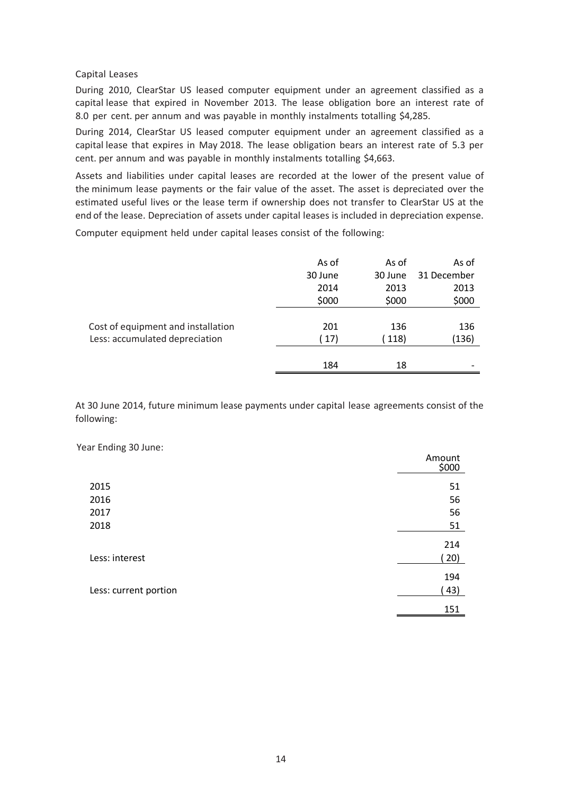Capital Leases

During 2010, ClearStar US leased computer equipment under an agreement classified as a capital lease that expired in November 2013. The lease obligation bore an interest rate of 8.0 per cent. per annum and was payable in monthly instalments totalling \$4,285.

During 2014, ClearStar US leased computer equipment under an agreement classified as a capital lease that expires in May 2018. The lease obligation bears an interest rate of 5.3 per cent. per annum and was payable in monthly instalments totalling \$4,663.

Assets and liabilities under capital leases are recorded at the lower of the present value of the minimum lease payments or the fair value of the asset. The asset is depreciated over the estimated useful lives or the lease term if ownership does not transfer to ClearStar US at the end of the lease. Depreciation of assets under capital leases is included in depreciation expense.

Computer equipment held under capital leases consist of the following:

|                                    | As of   | As of   | As of       |
|------------------------------------|---------|---------|-------------|
|                                    | 30 June | 30 June | 31 December |
|                                    | 2014    | 2013    | 2013        |
|                                    | \$000   | \$000   | \$000       |
|                                    |         |         |             |
| Cost of equipment and installation | 201     | 136     | 136         |
| Less: accumulated depreciation     | 17)     | 118)    | (136)       |
|                                    |         |         |             |
|                                    | 184     | 18      |             |
|                                    |         |         |             |

At 30 June 2014, future minimum lease payments under capital lease agreements consist of the following:

| Year Ending 30 June: |  |
|----------------------|--|
|----------------------|--|

|                       | Amount<br>\$000 |
|-----------------------|-----------------|
| 2015                  | 51              |
| 2016                  | 56              |
| 2017                  | 56              |
| 2018                  | 51              |
|                       | 214             |
| Less: interest        | 20)             |
|                       | 194             |
| Less: current portion | 43)             |
|                       | 151             |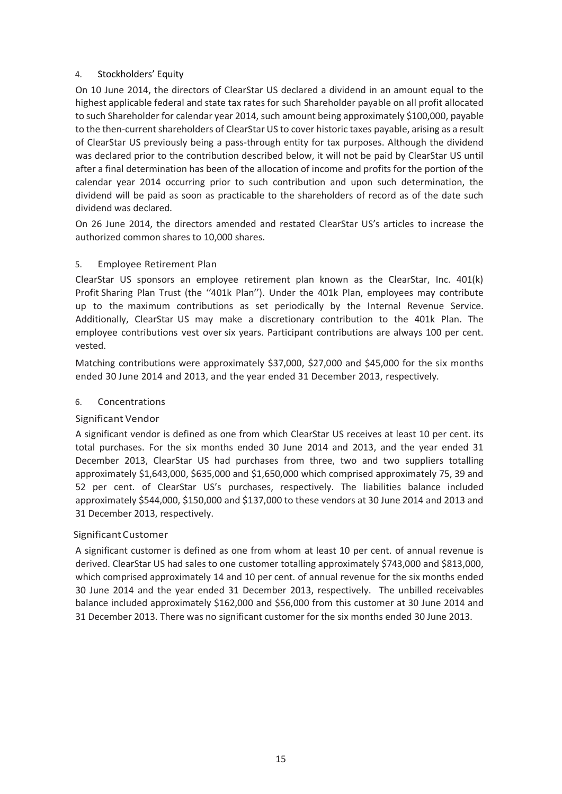## 4. Stockholders' Equity

On 10 June 2014, the directors of ClearStar US declared a dividend in an amount equal to the highest applicable federal and state tax rates for such Shareholder payable on all profit allocated to such Shareholder for calendar year 2014, such amount being approximately \$100,000, payable to the then-current shareholders of ClearStar US to cover historic taxes payable, arising as a result of ClearStar US previously being a pass-through entity for tax purposes. Although the dividend was declared prior to the contribution described below, it will not be paid by ClearStar US until after a final determination has been of the allocation of income and profits for the portion of the calendar year 2014 occurring prior to such contribution and upon such determination, the dividend will be paid as soon as practicable to the shareholders of record as of the date such dividend was declared.

On 26 June 2014, the directors amended and restated ClearStar US's articles to increase the authorized common shares to 10,000 shares.

## 5. Employee Retirement Plan

ClearStar US sponsors an employee retirement plan known as the ClearStar, Inc. 401(k) Profit Sharing Plan Trust (the ''401k Plan''). Under the 401k Plan, employees may contribute up to the maximum contributions as set periodically by the Internal Revenue Service. Additionally, ClearStar US may make a discretionary contribution to the 401k Plan. The employee contributions vest over six years. Participant contributions are always 100 per cent. vested.

Matching contributions were approximately \$37,000, \$27,000 and \$45,000 for the six months ended 30 June 2014 and 2013, and the year ended 31 December 2013, respectively.

## 6. Concentrations

## Significant Vendor

A significant vendor is defined as one from which ClearStar US receives at least 10 per cent. its total purchases. For the six months ended 30 June 2014 and 2013, and the year ended 31 December 2013, ClearStar US had purchases from three, two and two suppliers totalling approximately \$1,643,000, \$635,000 and \$1,650,000 which comprised approximately 75, 39 and 52 per cent. of ClearStar US's purchases, respectively. The liabilities balance included approximately \$544,000, \$150,000 and \$137,000 to these vendors at 30 June 2014 and 2013 and 31 December 2013, respectively.

## SignificantCustomer

A significant customer is defined as one from whom at least 10 per cent. of annual revenue is derived. ClearStar US had sales to one customer totalling approximately \$743,000 and \$813,000, which comprised approximately 14 and 10 per cent. of annual revenue for the six months ended 30 June 2014 and the year ended 31 December 2013, respectively. The unbilled receivables balance included approximately \$162,000 and \$56,000 from this customer at 30 June 2014 and 31 December 2013. There was no significant customer for the six months ended 30 June 2013.